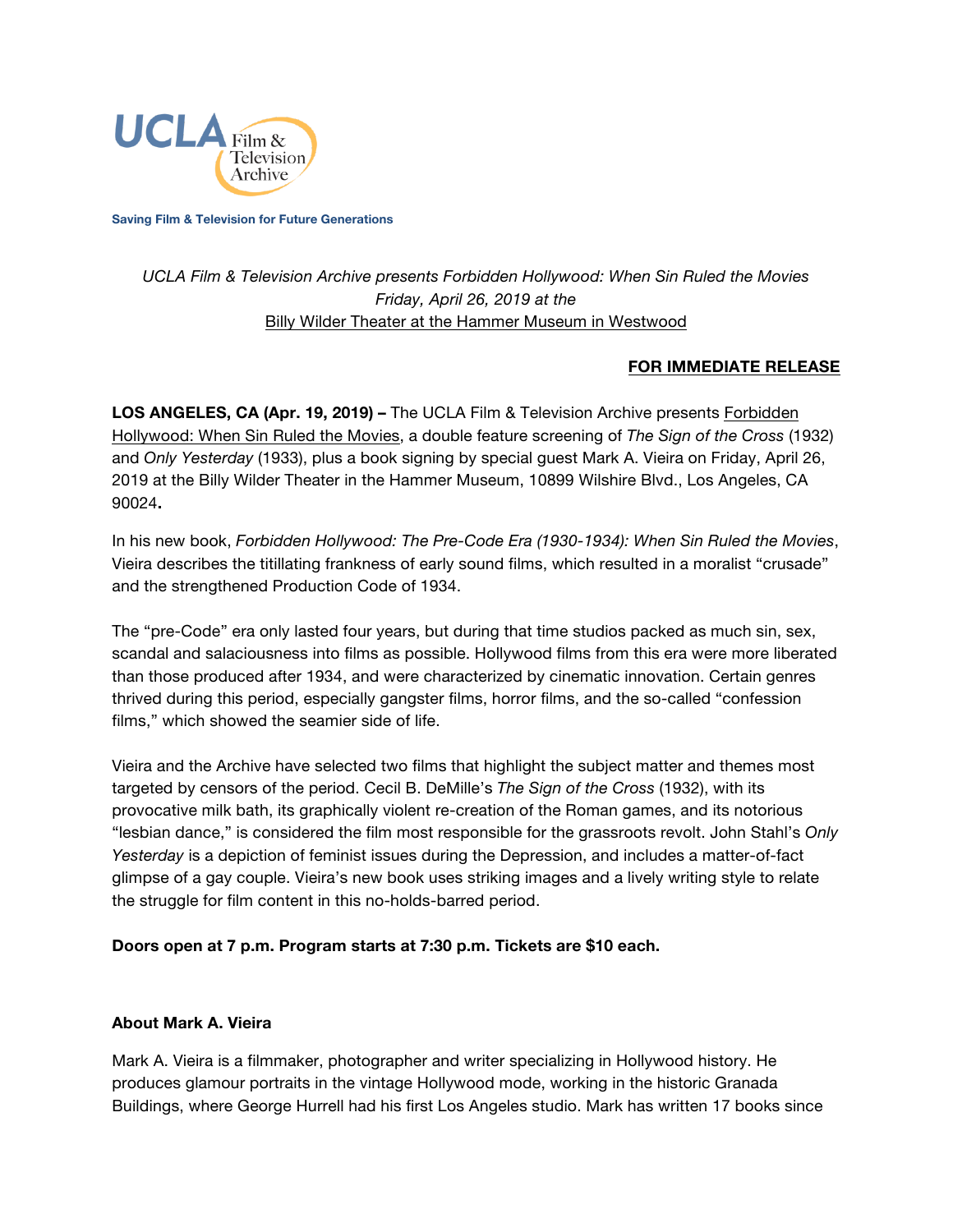

**Saving Film & Television for Future Generations**

# *UCLA Film & Television Archive presents Forbidden Hollywood: When Sin Ruled the Movies Friday, April 26, 2019 at the* [Billy Wilder Theater at the Hammer Museum in Westwood](https://www.cinema.ucla.edu/billy-wilder-theater)

## **FOR IMMEDIATE RELEASE**

**LOS ANGELES, CA (Apr. 19, 2019) –** The UCLA Film & Television Archive presents [Forbidden](https://www.cinema.ucla.edu/events/2019/04/26/sign-of-the-cross-only-yesterday) [Hollywood:](https://www.cinema.ucla.edu/events/2019/04/26/sign-of-the-cross-only-yesterday) When Sin Ruled the Movies, a double feature screening of *The Sign of the Cross* (1932) and *Only Yesterday* (1933), plus a book signing by special guest Mark A. Vieira on Friday, April 26, 2019 at the Billy Wilder Theater in the Hammer Museum, 10899 Wilshire Blvd., Los Angeles, CA 90024**.**

In his new book, *Forbidden Hollywood: The Pre-Code Era (1930-1934): When Sin Ruled the Movies*, Vieira describes the titillating frankness of early sound films, which resulted in a moralist "crusade" and the strengthened Production Code of 1934.

The "pre-Code" era only lasted four years, but during that time studios packed as much sin, sex, scandal and salaciousness into films as possible. Hollywood films from this era were more liberated than those produced after 1934, and were characterized by cinematic innovation. Certain genres thrived during this period, especially gangster films, horror films, and the so-called "confession films," which showed the seamier side of life.

Vieira and the Archive have selected two films that highlight the subject matter and themes most targeted by censors of the period. Cecil B. DeMille's *The Sign of the Cross* (1932), with its provocative milk bath, its graphically violent re-creation of the Roman games, and its notorious "lesbian dance," is considered the film most responsible for the grassroots revolt. John Stahl's *Only Yesterday* is a depiction of feminist issues during the Depression, and includes a matter-of-fact glimpse of a gay couple. Vieira's new book uses striking images and a lively writing style to relate the struggle for film content in this no-holds-barred period.

#### **Doors open at 7 p.m. Program starts at 7:30 p.m. Tickets are \$10 each.**

#### **About Mark A. Vieira**

Mark A. Vieira is a filmmaker, photographer and writer specializing in Hollywood history. He produces glamour portraits in the vintage Hollywood mode, working in the historic Granada Buildings, where George Hurrell had his first Los Angeles studio. Mark has written 17 books since